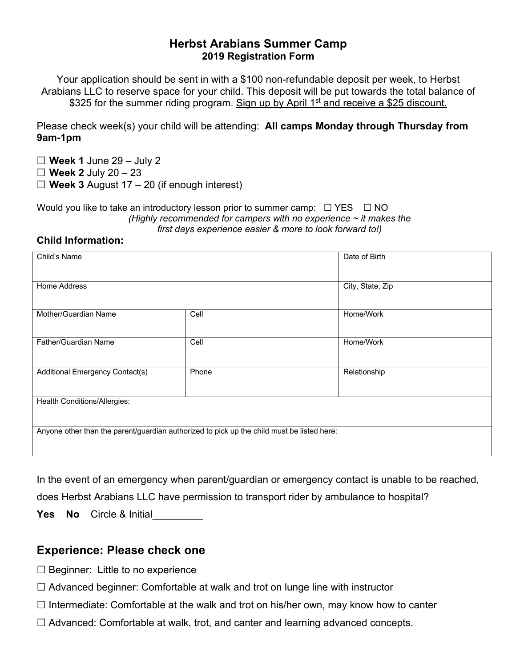## **Herbst Arabians Summer Camp 2019 Registration Form**

Your application should be sent in with a \$100 non-refundable deposit per week, to Herbst Arabians LLC to reserve space for your child. This deposit will be put towards the total balance of \$325 for the summer riding program. Sign up by April 1<sup>st</sup> and receive a \$25 discount.

Please check week(s) your child will be attending: **All camps Monday through Thursday from 9am-1pm**

**☐ Week 1** June 29 – July 2

**☐ Week 2** July 20 – 23

**☐ Week 3** August 17 – 20 (if enough interest)

Would you like to take an introductory lesson prior to summer camp:  $\Box$  YES  $\Box$  NO *(Highly recommended for campers with no experience ~ it makes the first days experience easier & more to look forward to!)*

## **Child Information:**

| Child's Name                                                                               |       | Date of Birth    |
|--------------------------------------------------------------------------------------------|-------|------------------|
| Home Address                                                                               |       | City, State, Zip |
| Mother/Guardian Name                                                                       | Cell  | Home/Work        |
| Father/Guardian Name                                                                       | Cell  | Home/Work        |
| Additional Emergency Contact(s)                                                            | Phone | Relationship     |
| Health Conditions/Allergies:                                                               |       |                  |
| Anyone other than the parent/guardian authorized to pick up the child must be listed here: |       |                  |

In the event of an emergency when parent/guardian or emergency contact is unable to be reached,

does Herbst Arabians LLC have permission to transport rider by ambulance to hospital?

**Yes No** Circle & Initial

## **Experience: Please check one**

- $\Box$  Beginner: Little to no experience
- □ Advanced beginner: Comfortable at walk and trot on lunge line with instructor
- $\Box$  Intermediate: Comfortable at the walk and trot on his/her own, may know how to canter
- ☐ Advanced: Comfortable at walk, trot, and canter and learning advanced concepts.